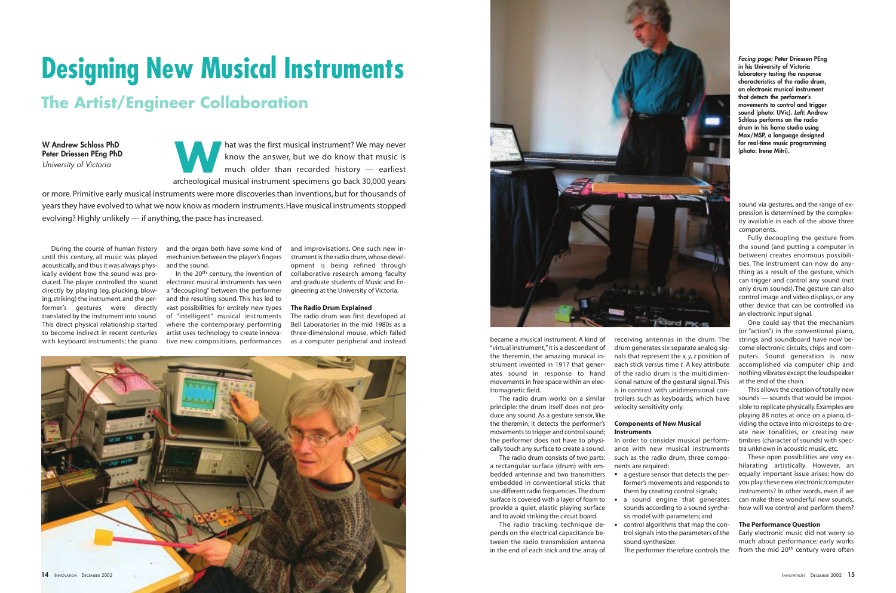hat was the first musical instrument? We may never know the answer, but we do know that music is much older than recorded history — earliest archeological musical instrument archeological musical instrument specimens go back 30,000 years

or more. Primitive early musical instruments were more discoveries than inventions, but for thousands of years they have evolved to what we now know as modern instruments.Have musical instruments stopped evolving? Highly unlikely — if anything, the pace has increased.

# **Designing New Musical Instruments**

## **The Artist/Engineer Collaboration**

**W Andrew Schloss PhD Peter Driessen PEng PhD** *University of Victoria*

> became a musical instrument. A kind of "virtual instrument,"it is a descendant of the theremin, the amazing musical instrument invented in 1917 that generates sound in response to hand movements in free space within an electromagnetic field.

> The radio drum works on a similar principle: the drum itself does not produce any sound. As a gesture sensor, like the theremin, it detects the performer's movements to trigger and control sound; the performer does not have to physically touch any surface to create a sound.

> The radio drum consists of two parts: a rectangular surface (drum) with embedded antennae and two transmitters embedded in conventional sticks that use different radio frequencies.The drum surface is covered with a layer of foam to

> provide a quiet, elastic playing surface and to avoid striking the circuit board. The radio tracking technique de-

> pends on the electrical capacitance between the radio transmission antenna in the end of each stick and the array of

receiving antennas in the drum. The drum generates six separate analog signals that represent the *x, y, z* position of each stick versus time *t.* A key attribute of the radio drum is the multidimensional nature of the gestural signal. This is in contrast with unidimensional controllers such as keyboards, which have velocity sensitivity only.

> The performer therefore controls the from the mid 20<sup>th</sup> century were often Early electronic music did not worry so much about performance; early works

#### **Components of New Musical Instruments**

In order to consider musical performance with new musical instruments such as the radio drum, three components are required:

• a gesture sensor that detects the pera sound engine that generates • control algorithms that map the con-

- former's movements and responds to them by creating control signals;
- sounds according to a sound synthesis model with parameters; and
- trol signals into the parameters of the sound synthesizer.

sound via gestures, and the range of expression is determined by the complexity available in each of the above three components.

In the 20<sup>th</sup> century, the invention of electronic musical instruments has seen a "decoupling" between the performer and the resulting sound. This has led to vast possibilities for entirely new types of "intelligent" musical instruments where the contemporary performing artist uses technology to create innovative new compositions, performances as a computer peripheral and instead

Fully decoupling the gesture from the sound (and putting a computer in between) creates enormous possibilities. The instrument can now do anything as a result of the gesture, which can trigger and control any sound (not only drum sounds). The gesture can also control image and video displays, or any other device that can be controlled via an electronic input signal.

One could say that the mechanism (or "action") in the conventional piano, strings and soundboard have now become electronic circuits, chips and computers. Sound generation is now accomplished via computer chip and nothing vibrates except the loudspeaker at the end of the chain.

This allows the creation of totally new sounds — sounds that would be impossible to replicate physically.Examples are playing 88 notes at once on a piano, dividing the octave into microsteps to create new tonalities, or creating new timbres (character of sounds) with spectra unknown in acoustic music, etc.

These open possibilities are very exhilarating artistically. However, an equally important issue arises: how do you play these new electronic/computer instruments? In other words, even if we can make these wonderful new sounds, how will we control and perform them?

#### **The Performance Question**

During the course of human history until this century, all music was played acoustically, and thus it was always physically evident how the sound was produced. The player controlled the sound directly by playing (eg, plucking, blowing,striking) the instrument,and the performer's gestures were directly translated by the instrument into sound. This direct physical relationship started to become indirect in recent centuries with keyboard instruments; the piano and the organ both have some kind of mechanism between the player's fingers and the sound.

and improvisations. One such new instrument is the radio drum,whose development is being refined through collaborative research among faculty and graduate students of Music and Engineering at the University of Victoria.

#### **The Radio Drum Explained**

The radio drum was first developed at Bell Laboratories in the mid 1980s as a three-dimensional mouse, which failed *Facing page:* **Peter Driessen PEng in his University of Victoria laboratory testing the response characteristics of the radio drum, an electronic musical instrument that detects the performer's movements to control and trigger sound (photo: UVic).** *Left:* **Andrew Schloss performs on the radio drum in his home studio using Max/MSP, a language designed for real-time music programming (photo: Irene Mitri).**